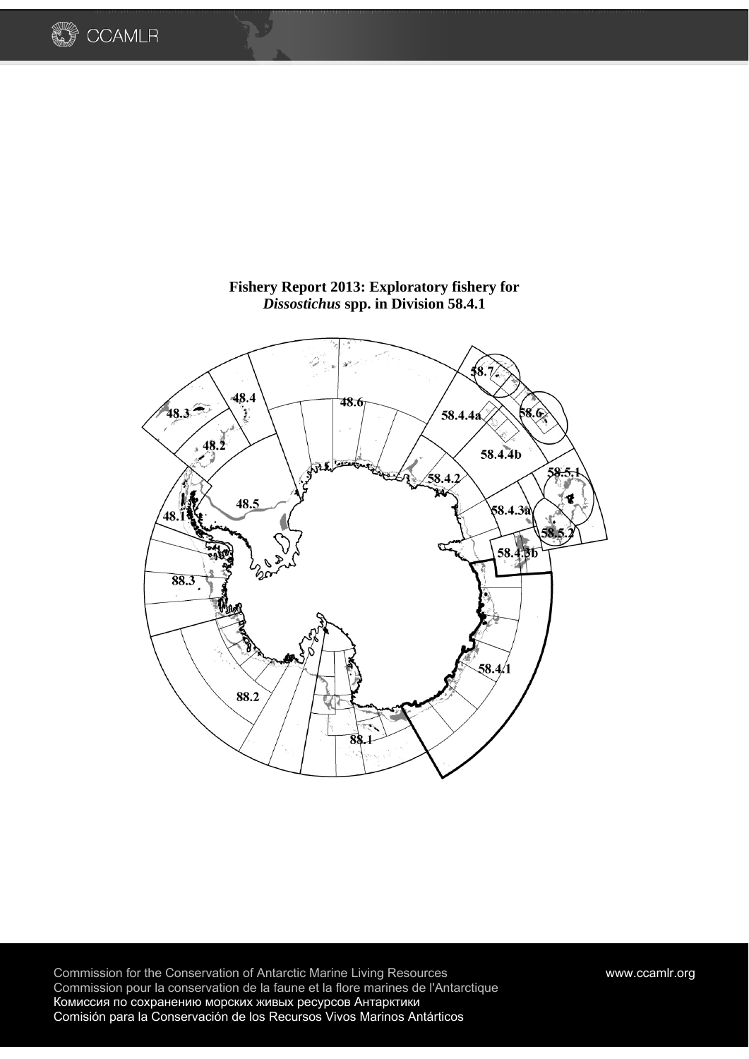



**Fishery Report 2013: Exploratory fishery for**  *Dissostichus* **spp. in Division 58.4.1** 

Commission for the Conservation of Antarctic Marine Living Resources www.ccamlr.org Commission pour la conservation de la faune et la flore marines de l'Antarctique Комиссия по сохранению морских живых ресурсов Антарктики Comisión para la Conservación de los Recursos Vivos Marinos Antárticos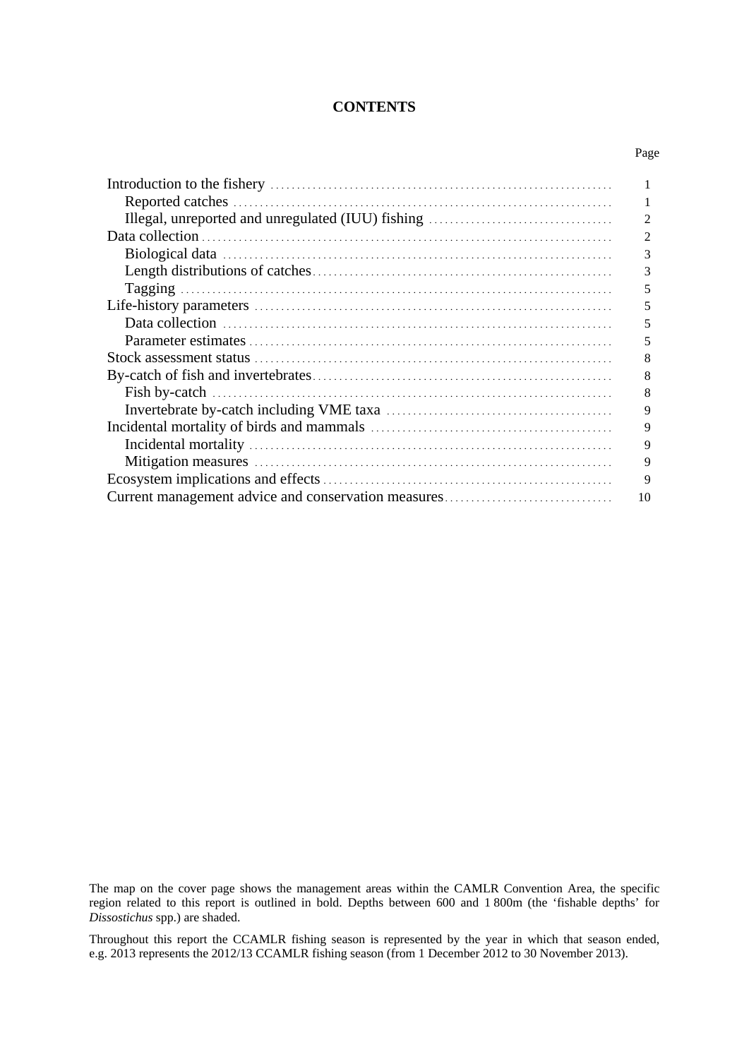### **CONTENTS**

| . .<br>٠<br>×<br>٧<br>×<br>v |
|------------------------------|
|------------------------------|

|                                                     | 2  |
|-----------------------------------------------------|----|
|                                                     | 2  |
|                                                     | 3  |
|                                                     | 3  |
|                                                     | 5  |
|                                                     | 5  |
|                                                     | 5  |
|                                                     | 5  |
|                                                     | 8  |
|                                                     | 8  |
|                                                     | 8  |
|                                                     | 9  |
|                                                     | 9  |
|                                                     | 9  |
|                                                     | 9  |
|                                                     | 9  |
| Current management advice and conservation measures | 10 |

The map on the cover page shows the management areas within the CAMLR Convention Area, the specific region related to this report is outlined in bold. Depths between 600 and 1 800m (the 'fishable depths' for *Dissostichus* spp.) are shaded.

Throughout this report the CCAMLR fishing season is represented by the year in which that season ended, e.g. 2013 represents the 2012/13 CCAMLR fishing season (from 1 December 2012 to 30 November 2013).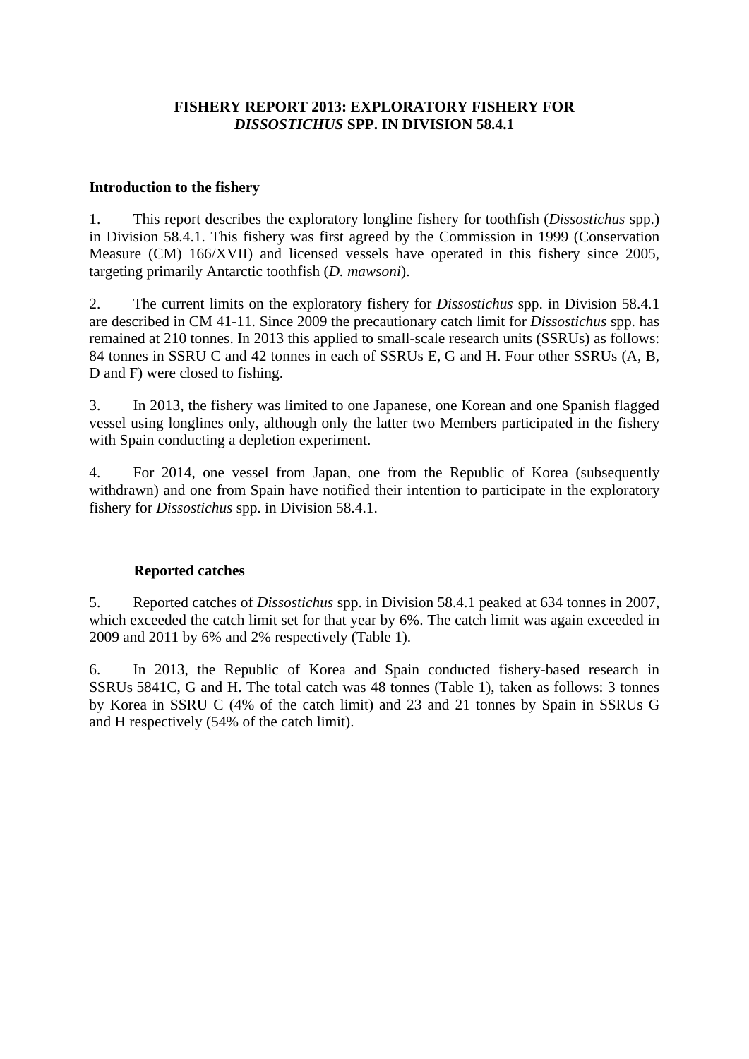## **FISHERY REPORT 2013: EXPLORATORY FISHERY FOR**  *DISSOSTICHUS* **SPP. IN DIVISION 58.4.1**

### **Introduction to the fishery**

1. This report describes the exploratory longline fishery for toothfish (*Dissostichus* spp.) in Division 58.4.1. This fishery was first agreed by the Commission in 1999 (Conservation Measure (CM) 166/XVII) and licensed vessels have operated in this fishery since 2005, targeting primarily Antarctic toothfish (*D. mawsoni*).

2. The current limits on the exploratory fishery for *Dissostichus* spp. in Division 58.4.1 are described in CM 41-11. Since 2009 the precautionary catch limit for *Dissostichus* spp. has remained at 210 tonnes. In 2013 this applied to small-scale research units (SSRUs) as follows: 84 tonnes in SSRU C and 42 tonnes in each of SSRUs E, G and H. Four other SSRUs (A, B, D and F) were closed to fishing.

3. In 2013, the fishery was limited to one Japanese, one Korean and one Spanish flagged vessel using longlines only, although only the latter two Members participated in the fishery with Spain conducting a depletion experiment.

4. For 2014, one vessel from Japan, one from the Republic of Korea (subsequently withdrawn) and one from Spain have notified their intention to participate in the exploratory fishery for *Dissostichus* spp. in Division 58.4.1.

# **Reported catches**

5. Reported catches of *Dissostichus* spp. in Division 58.4.1 peaked at 634 tonnes in 2007, which exceeded the catch limit set for that year by 6%. The catch limit was again exceeded in 2009 and 2011 by 6% and 2% respectively (Table 1).

6. In 2013, the Republic of Korea and Spain conducted fishery-based research in SSRUs 5841C, G and H. The total catch was 48 tonnes (Table 1), taken as follows: 3 tonnes by Korea in SSRU C (4% of the catch limit) and 23 and 21 tonnes by Spain in SSRUs G and H respectively (54% of the catch limit).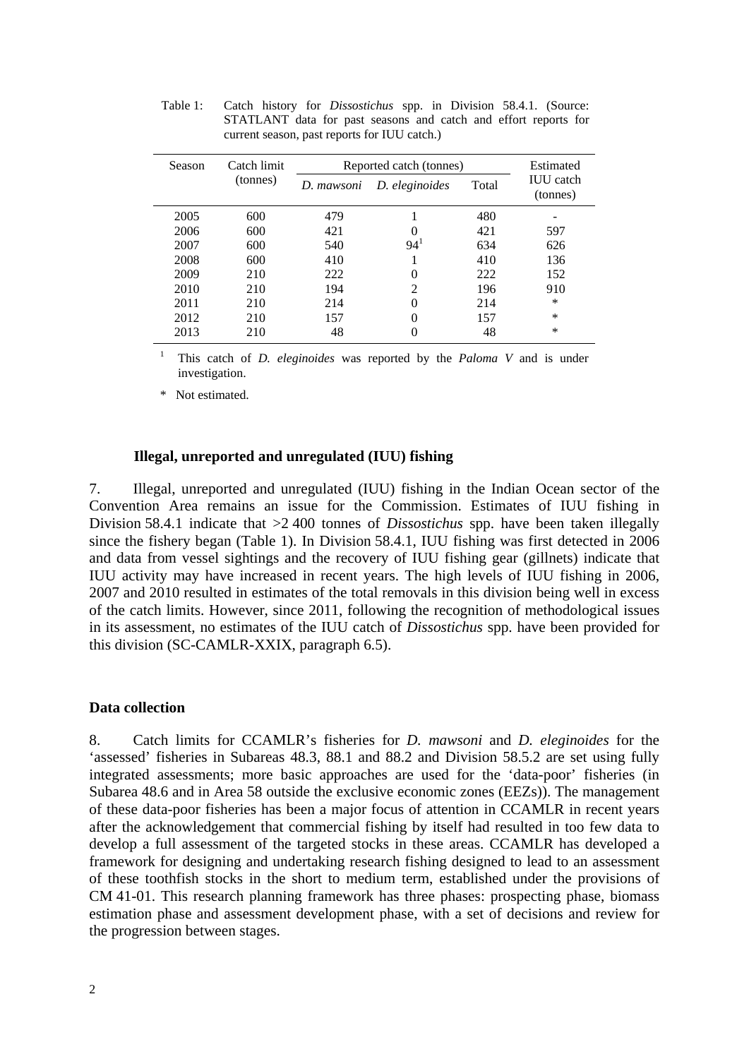| Season | Catch limit |            | Reported catch (tonnes) |       |                              |  |  |  |  |  |  |
|--------|-------------|------------|-------------------------|-------|------------------------------|--|--|--|--|--|--|
|        | (tonnes)    | D. mawsoni | D. eleginoides          | Total | <b>IUU</b> catch<br>(tonnes) |  |  |  |  |  |  |
| 2005   | 600         | 479        |                         | 480   |                              |  |  |  |  |  |  |
| 2006   | 600         | 421        | 0                       | 421   | 597                          |  |  |  |  |  |  |
| 2007   | 600         | 540        | 94 <sup>1</sup>         | 634   | 626                          |  |  |  |  |  |  |
| 2008   | 600         | 410        |                         | 410   | 136                          |  |  |  |  |  |  |
| 2009   | 210         | 222        | 0                       | 222   | 152                          |  |  |  |  |  |  |
| 2010   | 210         | 194        | $\mathfrak{D}$          | 196   | 910                          |  |  |  |  |  |  |
| 2011   | 210         | 214        | 0                       | 214   | $\ast$                       |  |  |  |  |  |  |
| 2012   | 210         | 157        | $\theta$                | 157   | $\ast$                       |  |  |  |  |  |  |
| 2013   | 210         | 48         | 0                       | 48    | $\ast$                       |  |  |  |  |  |  |

Table 1: Catch history for *Dissostichus* spp. in Division 58.4.1. (Source: STATLANT data for past seasons and catch and effort reports for current season, past reports for IUU catch.)

1 This catch of *D. eleginoides* was reported by the *Paloma V* and is under investigation.

\* Not estimated.

#### **Illegal, unreported and unregulated (IUU) fishing**

7. Illegal, unreported and unregulated (IUU) fishing in the Indian Ocean sector of the Convention Area remains an issue for the Commission. Estimates of IUU fishing in Division 58.4.1 indicate that >2 400 tonnes of *Dissostichus* spp. have been taken illegally since the fishery began (Table 1). In Division 58.4.1, IUU fishing was first detected in 2006 and data from vessel sightings and the recovery of IUU fishing gear (gillnets) indicate that IUU activity may have increased in recent years. The high levels of IUU fishing in 2006, 2007 and 2010 resulted in estimates of the total removals in this division being well in excess of the catch limits. However, since 2011, following the recognition of methodological issues in its assessment, no estimates of the IUU catch of *Dissostichus* spp. have been provided for this division (SC-CAMLR-XXIX, paragraph 6.5).

#### **Data collection**

8. Catch limits for CCAMLR's fisheries for *D. mawsoni* and *D. eleginoides* for the 'assessed' fisheries in Subareas 48.3, 88.1 and 88.2 and Division 58.5.2 are set using fully integrated assessments; more basic approaches are used for the 'data-poor' fisheries (in Subarea 48.6 and in Area 58 outside the exclusive economic zones (EEZs)). The management of these data-poor fisheries has been a major focus of attention in CCAMLR in recent years after the acknowledgement that commercial fishing by itself had resulted in too few data to develop a full assessment of the targeted stocks in these areas. CCAMLR has developed a framework for designing and undertaking research fishing designed to lead to an assessment of these toothfish stocks in the short to medium term, established under the provisions of CM 41-01. This research planning framework has three phases: prospecting phase, biomass estimation phase and assessment development phase, with a set of decisions and review for the progression between stages.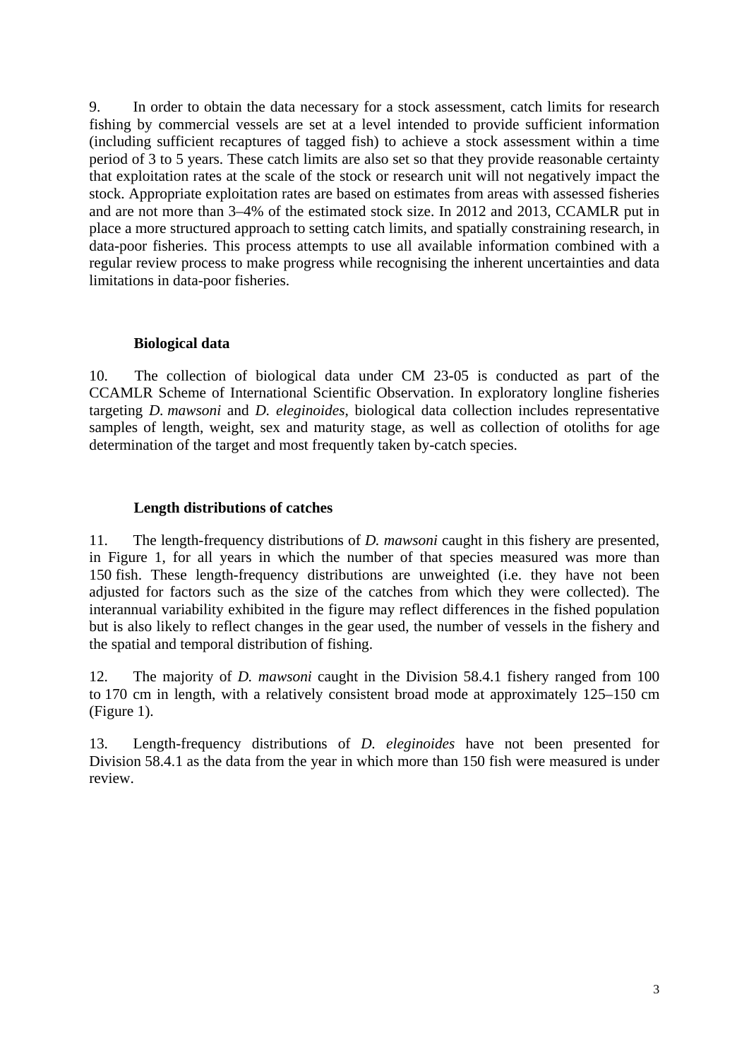9. In order to obtain the data necessary for a stock assessment, catch limits for research fishing by commercial vessels are set at a level intended to provide sufficient information (including sufficient recaptures of tagged fish) to achieve a stock assessment within a time period of 3 to 5 years. These catch limits are also set so that they provide reasonable certainty that exploitation rates at the scale of the stock or research unit will not negatively impact the stock. Appropriate exploitation rates are based on estimates from areas with assessed fisheries and are not more than 3–4% of the estimated stock size. In 2012 and 2013, CCAMLR put in place a more structured approach to setting catch limits, and spatially constraining research, in data-poor fisheries. This process attempts to use all available information combined with a regular review process to make progress while recognising the inherent uncertainties and data limitations in data-poor fisheries.

#### **Biological data**

10. The collection of biological data under CM 23-05 is conducted as part of the CCAMLR Scheme of International Scientific Observation. In exploratory longline fisheries targeting *D. mawsoni* and *D. eleginoides*, biological data collection includes representative samples of length, weight, sex and maturity stage, as well as collection of otoliths for age determination of the target and most frequently taken by-catch species.

### **Length distributions of catches**

11. The length-frequency distributions of *D. mawsoni* caught in this fishery are presented, in Figure 1, for all years in which the number of that species measured was more than 150 fish. These length-frequency distributions are unweighted (i.e. they have not been adjusted for factors such as the size of the catches from which they were collected). The interannual variability exhibited in the figure may reflect differences in the fished population but is also likely to reflect changes in the gear used, the number of vessels in the fishery and the spatial and temporal distribution of fishing.

12. The majority of *D. mawsoni* caught in the Division 58.4.1 fishery ranged from 100 to 170 cm in length, with a relatively consistent broad mode at approximately 125–150 cm (Figure 1).

13. Length-frequency distributions of *D. eleginoides* have not been presented for Division 58.4.1 as the data from the year in which more than 150 fish were measured is under review.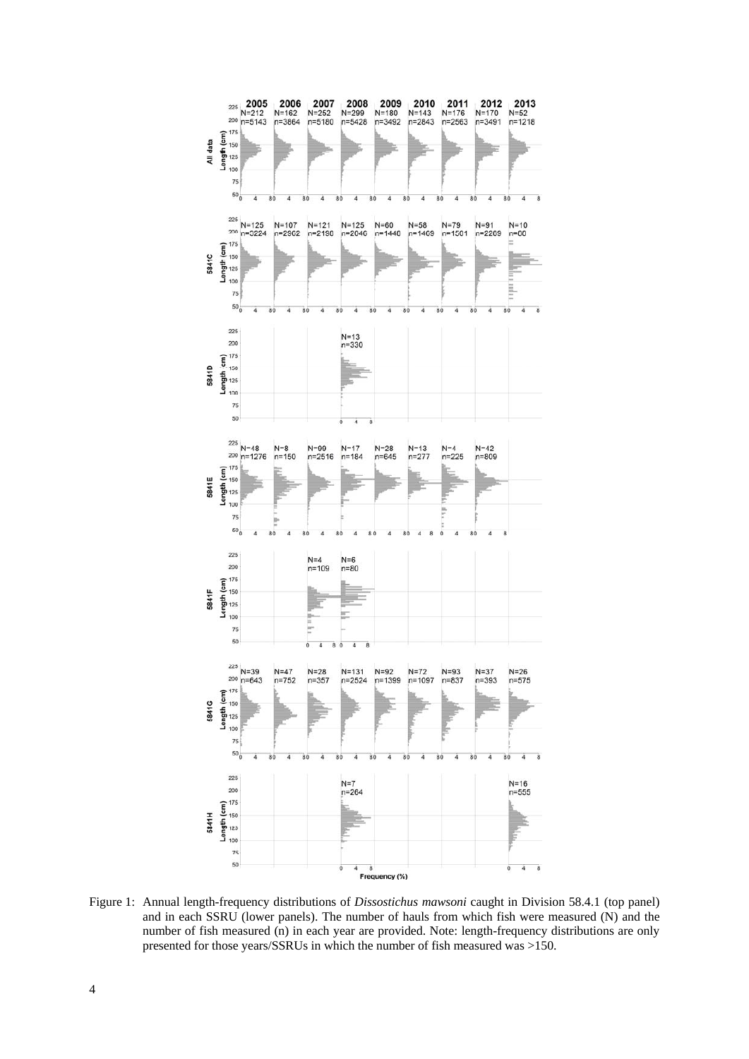

Figure 1: Annual length-frequency distributions of *Dissostichus mawsoni* caught in Division 58.4.1 (top panel) and in each SSRU (lower panels). The number of hauls from which fish were measured (N) and the number of fish measured (n) in each year are provided. Note: length-frequency distributions are only presented for those years/SSRUs in which the number of fish measured was >150.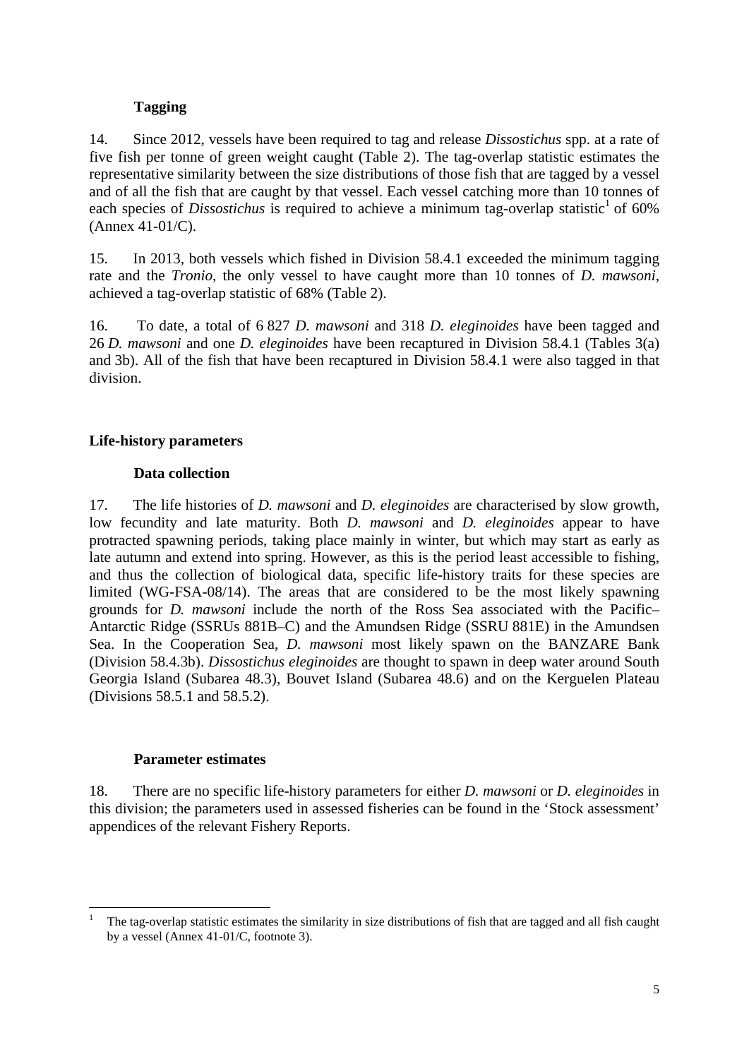## **Tagging**

14. Since 2012, vessels have been required to tag and release *Dissostichus* spp. at a rate of five fish per tonne of green weight caught (Table 2). The tag-overlap statistic estimates the representative similarity between the size distributions of those fish that are tagged by a vessel and of all the fish that are caught by that vessel. Each vessel catching more than 10 tonnes of each species of *Dissostichus* is required to achieve a minimum tag-overlap statistic<sup>1</sup> of 60% (Annex 41-01/C).

15. In 2013, both vessels which fished in Division 58.4.1 exceeded the minimum tagging rate and the *Tronio*, the only vessel to have caught more than 10 tonnes of *D. mawsoni*, achieved a tag-overlap statistic of 68% (Table 2).

16. To date, a total of 6 827 *D. mawsoni* and 318 *D. eleginoides* have been tagged and 26 *D. mawsoni* and one *D. eleginoides* have been recaptured in Division 58.4.1 (Tables 3(a) and 3b). All of the fish that have been recaptured in Division 58.4.1 were also tagged in that division.

# **Life-history parameters**

## **Data collection**

17. The life histories of *D. mawsoni* and *D. eleginoides* are characterised by slow growth, low fecundity and late maturity. Both *D. mawsoni* and *D. eleginoides* appear to have protracted spawning periods, taking place mainly in winter, but which may start as early as late autumn and extend into spring. However, as this is the period least accessible to fishing, and thus the collection of biological data, specific life-history traits for these species are limited (WG-FSA-08/14). The areas that are considered to be the most likely spawning grounds for *D. mawsoni* include the north of the Ross Sea associated with the Pacific– Antarctic Ridge (SSRUs 881B–C) and the Amundsen Ridge (SSRU 881E) in the Amundsen Sea. In the Cooperation Sea, *D. mawsoni* most likely spawn on the BANZARE Bank (Division 58.4.3b). *Dissostichus eleginoides* are thought to spawn in deep water around South Georgia Island (Subarea 48.3), Bouvet Island (Subarea 48.6) and on the Kerguelen Plateau (Divisions 58.5.1 and 58.5.2).

### **Parameter estimates**

18. There are no specific life-history parameters for either *D. mawsoni* or *D. eleginoides* in this division; the parameters used in assessed fisheries can be found in the 'Stock assessment' appendices of the relevant Fishery Reports.

<sup>1</sup> 1 The tag-overlap statistic estimates the similarity in size distributions of fish that are tagged and all fish caught by a vessel (Annex 41-01/C, footnote 3).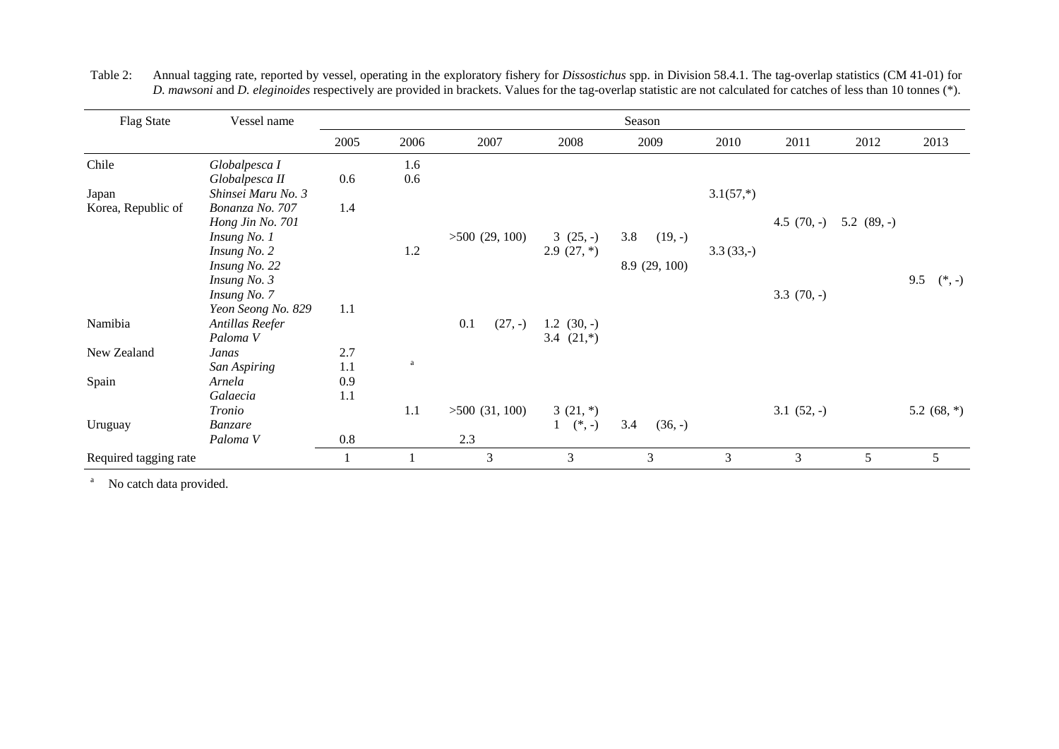| <b>Flag State</b>     | Vessel name         |      |      |                  |                 | Season           |             |                |               |                 |
|-----------------------|---------------------|------|------|------------------|-----------------|------------------|-------------|----------------|---------------|-----------------|
|                       |                     | 2005 | 2006 | 2007             | 2008            | 2009             | 2010        | 2011           | 2012          | 2013            |
| Chile                 | Globalpesca I       |      | 1.6  |                  |                 |                  |             |                |               |                 |
|                       | Globalpesca II      | 0.6  | 0.6  |                  |                 |                  |             |                |               |                 |
| Japan                 | Shinsei Maru No. 3  |      |      |                  |                 |                  | $3.1(57,*)$ |                |               |                 |
| Korea, Republic of    | Bonanza No. 707     | 1.4  |      |                  |                 |                  |             |                |               |                 |
|                       | Hong Jin No. 701    |      |      |                  |                 |                  |             | 4.5 $(70, -)$  | 5.2 $(89, -)$ |                 |
|                       | Insung No. 1        |      |      | $>500$ (29, 100) | $3(25,-)$       | 3.8<br>$(19, -)$ |             |                |               |                 |
|                       | Insung No. 2        |      | 1.2  |                  | $2.9(27,*)$     |                  | $3.3(33,-)$ |                |               |                 |
|                       | Insung No. 22       |      |      |                  |                 | 8.9 (29, 100)    |             |                |               |                 |
|                       | Insung No. 3        |      |      |                  |                 |                  |             |                |               | 9.5<br>$(*, -)$ |
|                       | Insung No. 7        |      |      |                  |                 |                  |             | $3.3(70,-)$    |               |                 |
|                       | Yeon Seong No. 829  | 1.1  |      |                  |                 |                  |             |                |               |                 |
| Namibia               | Antillas Reefer     |      |      | 0.1<br>$(27, -)$ | $1.2$ $(30, -)$ |                  |             |                |               |                 |
|                       | Paloma <sub>V</sub> |      |      |                  | 3.4 $(21,*)$    |                  |             |                |               |                 |
| New Zealand           | Janas               | 2.7  |      |                  |                 |                  |             |                |               |                 |
|                       | San Aspiring        | 1.1  | a    |                  |                 |                  |             |                |               |                 |
| Spain                 | Arnela              | 0.9  |      |                  |                 |                  |             |                |               |                 |
|                       | Galaecia            | 1.1  |      |                  |                 |                  |             |                |               |                 |
|                       | Tronio              |      | 1.1  | $>500$ (31, 100) | $3(21,*)$       |                  |             | $3.1(52,-)$    |               | 5.2 $(68, *)$   |
| Uruguay               | Banzare             |      |      |                  | $1$ (*, -)      | 3.4<br>$(36, -)$ |             |                |               |                 |
|                       | Paloma V            | 0.8  |      | 2.3              |                 |                  |             |                |               |                 |
| Required tagging rate |                     |      |      | 3                | 3               | 3                | 3           | $\mathfrak{Z}$ | 5             | 5               |

Table 2: Annual tagging rate, reported by vessel, operating in the exploratory fishery for *Dissostichus* spp. in Division 58.4.1. The tag-overlap statistics (CM 41-01) for *D. mawsoni* and *D. eleginoides* respectively are provided in brackets. Values for the tag-overlap statistic are not calculated for catches of less than 10 tonnes (\*).

<sup>a</sup> No catch data provided.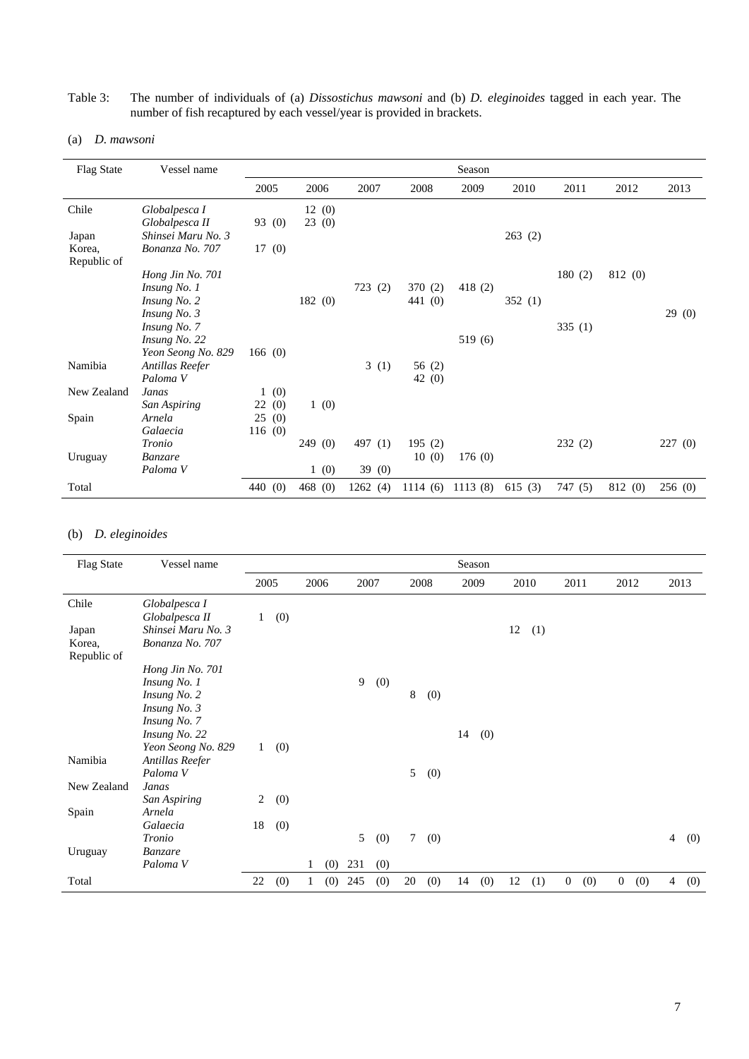#### Table 3: The number of individuals of (a) *Dissostichus mawsoni* and (b) *D. eleginoides* tagged in each year. The number of fish recaptured by each vessel/year is provided in brackets.

#### (a) *D. mawsoni*

| <b>Flag State</b> | Vessel name         |                     |                     |            |         | Season  |        |         |         |        |
|-------------------|---------------------|---------------------|---------------------|------------|---------|---------|--------|---------|---------|--------|
|                   |                     | 2005                | 2006                | 2007       | 2008    | 2009    | 2010   | 2011    | 2012    | 2013   |
| Chile             | Globalpesca I       |                     | 12(0)               |            |         |         |        |         |         |        |
|                   | Globalpesca II      | 93 (0)              | 23(0)               |            |         |         |        |         |         |        |
| Japan             | Shinsei Maru No. 3  |                     |                     |            |         |         | 263(2) |         |         |        |
| Korea,            | Bonanza No. 707     | 17(0)               |                     |            |         |         |        |         |         |        |
| Republic of       |                     |                     |                     |            |         |         |        |         |         |        |
|                   | Hong Jin No. 701    |                     |                     |            |         |         |        | 180(2)  | 812 (0) |        |
|                   | Insung No. 1        |                     |                     | 723<br>(2) | 370 (2) | 418 (2) |        |         |         |        |
|                   | Insung No. 2        |                     | 182(0)              |            | 441 (0) |         | 352(1) |         |         |        |
|                   | Insung No. 3        |                     |                     |            |         |         |        |         |         | 29(0)  |
|                   | Insung No. 7        |                     |                     |            |         |         |        | 335(1)  |         |        |
|                   | Insung No. 22       |                     |                     |            |         | 519 (6) |        |         |         |        |
|                   | Yeon Seong No. 829  | 166(0)              |                     |            |         |         |        |         |         |        |
| Namibia           | Antillas Reefer     |                     |                     | 3(1)       | 56 (2)  |         |        |         |         |        |
|                   | Paloma V            |                     |                     |            | 42 (0)  |         |        |         |         |        |
| New Zealand       | Janas               | (0)<br>$\mathbf{1}$ |                     |            |         |         |        |         |         |        |
|                   | San Aspiring        | 22(0)               | 1(0)                |            |         |         |        |         |         |        |
| Spain             | Arnela              | 25(0)               |                     |            |         |         |        |         |         |        |
|                   | Galaecia            | 116(0)              |                     |            |         |         |        |         |         |        |
|                   | Tronio              |                     | 249<br>(0)          | 497 (1)    | 195(2)  |         |        | 232(2)  |         | 227(0) |
| Uruguay           | <b>Banzare</b>      |                     |                     |            | 10(0)   | 176(0)  |        |         |         |        |
|                   | Paloma <sub>V</sub> |                     | (0)<br>$\mathbf{1}$ | 39(0)      |         |         |        |         |         |        |
| Total             |                     | 440 (0)             | 468(0)              | 1262(4)    | 1114(6) | 1113(8) | 615(3) | 747 (5) | 812 (0) | 256(0) |

### (b) *D. eleginoides*

| <b>Flag State</b>     | Vessel name         |              |     |   |      |      |     |                 |      |    | Season |    |      |                |     |                |     |                |      |
|-----------------------|---------------------|--------------|-----|---|------|------|-----|-----------------|------|----|--------|----|------|----------------|-----|----------------|-----|----------------|------|
|                       |                     | 2005         |     |   | 2006 | 2007 |     |                 | 2008 |    | 2009   |    | 2010 | 2011           |     | 2012           |     |                | 2013 |
| Chile                 | Globalpesca I       |              |     |   |      |      |     |                 |      |    |        |    |      |                |     |                |     |                |      |
|                       | Globalpesca II      | 1            | (0) |   |      |      |     |                 |      |    |        |    |      |                |     |                |     |                |      |
| Japan                 | Shinsei Maru No. 3  |              |     |   |      |      |     |                 |      |    |        | 12 | (1)  |                |     |                |     |                |      |
| Korea,<br>Republic of | Bonanza No. 707     |              |     |   |      |      |     |                 |      |    |        |    |      |                |     |                |     |                |      |
|                       | Hong Jin No. 701    |              |     |   |      |      |     |                 |      |    |        |    |      |                |     |                |     |                |      |
|                       | Insung No. 1        |              |     |   |      | 9    | (0) |                 |      |    |        |    |      |                |     |                |     |                |      |
|                       | Insung No. 2        |              |     |   |      |      |     | 8               | (0)  |    |        |    |      |                |     |                |     |                |      |
|                       | Insung No. 3        |              |     |   |      |      |     |                 |      |    |        |    |      |                |     |                |     |                |      |
|                       | Insung No. 7        |              |     |   |      |      |     |                 |      |    |        |    |      |                |     |                |     |                |      |
|                       | Insung No. 22       |              |     |   |      |      |     |                 |      | 14 | (0)    |    |      |                |     |                |     |                |      |
|                       | Yeon Seong No. 829  | $\mathbf{1}$ | (0) |   |      |      |     |                 |      |    |        |    |      |                |     |                |     |                |      |
| Namibia               | Antillas Reefer     |              |     |   |      |      |     |                 |      |    |        |    |      |                |     |                |     |                |      |
|                       | Paloma V            |              |     |   |      |      |     | 5               | (0)  |    |        |    |      |                |     |                |     |                |      |
| New Zealand           | Janas               |              |     |   |      |      |     |                 |      |    |        |    |      |                |     |                |     |                |      |
|                       | San Aspiring        | 2            | (0) |   |      |      |     |                 |      |    |        |    |      |                |     |                |     |                |      |
| Spain                 | Arnela              |              |     |   |      |      |     |                 |      |    |        |    |      |                |     |                |     |                |      |
|                       | Galaecia            | 18           | (0) |   |      |      |     |                 |      |    |        |    |      |                |     |                |     |                |      |
|                       | Tronio              |              |     |   |      | 5    | (0) | $7\overline{ }$ | (0)  |    |        |    |      |                |     |                |     | $\overline{4}$ | (0)  |
| Uruguay               | Banzare             |              |     |   |      |      |     |                 |      |    |        |    |      |                |     |                |     |                |      |
|                       | Paloma <sub>V</sub> |              |     | 1 | (0)  | 231  | (0) |                 |      |    |        |    |      |                |     |                |     |                |      |
| Total                 |                     | 22           | (0) |   | (0)  | 245  | (0) | 20              | (0)  | 14 | (0)    | 12 | (1)  | $\overline{0}$ | (0) | $\overline{0}$ | (0) | $\overline{4}$ | (0)  |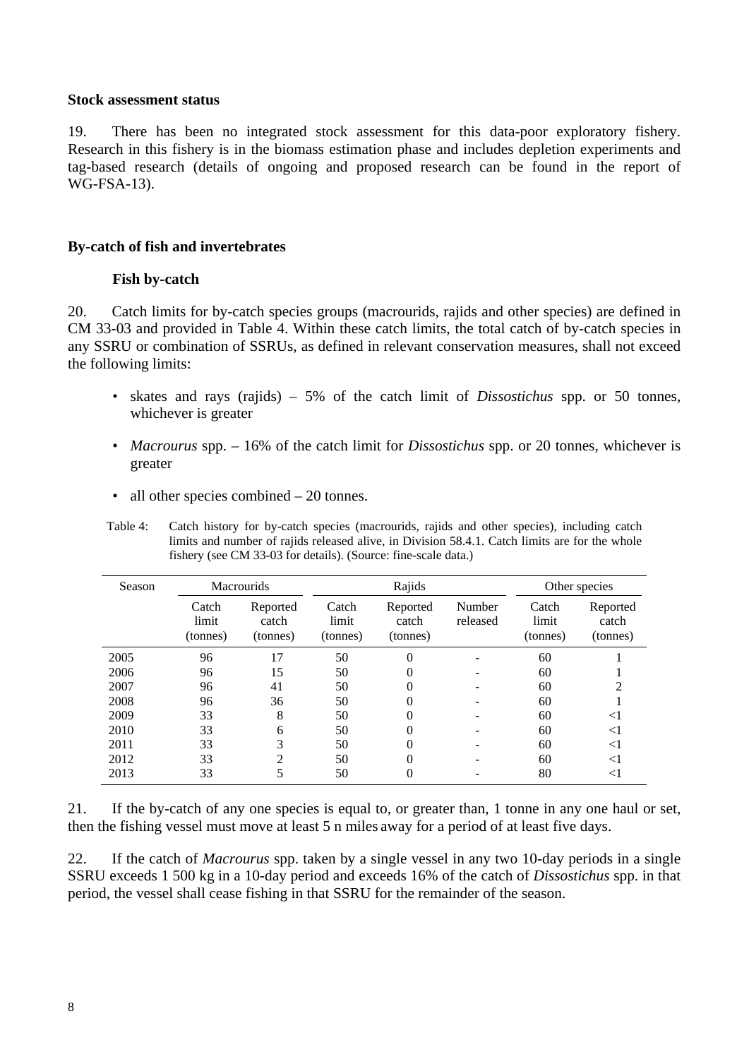#### **Stock assessment status**

19. There has been no integrated stock assessment for this data-poor exploratory fishery. Research in this fishery is in the biomass estimation phase and includes depletion experiments and tag-based research (details of ongoing and proposed research can be found in the report of WG-FSA-13).

### **By-catch of fish and invertebrates**

### **Fish by-catch**

20. Catch limits for by-catch species groups (macrourids, rajids and other species) are defined in CM 33-03 and provided in Table 4. Within these catch limits, the total catch of by-catch species in any SSRU or combination of SSRUs, as defined in relevant conservation measures, shall not exceed the following limits:

- skates and rays (rajids) 5% of the catch limit of *Dissostichus* spp. or 50 tonnes, whichever is greater
- *Macrourus* spp. 16% of the catch limit for *Dissostichus* spp. or 20 tonnes, whichever is greater
- all other species combined 20 tonnes.

Table 4: Catch history for by-catch species (macrourids, rajids and other species), including catch limits and number of rajids released alive, in Division 58.4.1. Catch limits are for the whole fishery (see CM 33-03 for details). (Source: fine-scale data.)

| Season |                            | <b>Macrourids</b>             |                            | Rajids                                              | Other species |                            |                               |
|--------|----------------------------|-------------------------------|----------------------------|-----------------------------------------------------|---------------|----------------------------|-------------------------------|
|        | Catch<br>limit<br>(tonnes) | Reported<br>catch<br>(tonnes) | Catch<br>limit<br>(tonnes) | Number<br>Reported<br>released<br>catch<br>(tonnes) |               | Catch<br>limit<br>(tonnes) | Reported<br>catch<br>(tonnes) |
| 2005   | 96                         | 17                            | 50                         | 0                                                   |               | 60                         |                               |
| 2006   | 96                         | 15                            | 50                         | 0                                                   |               | 60                         |                               |
| 2007   | 96                         | 41                            | 50                         | 0                                                   |               | 60                         |                               |
| 2008   | 96                         | 36                            | 50                         | 0                                                   |               | 60                         |                               |
| 2009   | 33                         | 8                             | 50                         | 0                                                   |               | 60                         | $< \! 1$                      |
| 2010   | 33                         | 6                             | 50                         | 0                                                   |               | 60                         | $<$ 1                         |
| 2011   | 33                         | 3                             | 50                         | 0                                                   |               | 60                         | $<$ 1                         |
| 2012   | 33                         | 2                             | 50                         | 0                                                   |               | 60                         | $< \! 1$                      |
| 2013   | 33                         |                               | 50                         | 0                                                   |               | 80                         | <1                            |

21. If the by-catch of any one species is equal to, or greater than, 1 tonne in any one haul or set, then the fishing vessel must move at least 5 n miles away for a period of at least five days.

22. If the catch of *Macrourus* spp. taken by a single vessel in any two 10-day periods in a single SSRU exceeds 1 500 kg in a 10-day period and exceeds 16% of the catch of *Dissostichus* spp. in that period, the vessel shall cease fishing in that SSRU for the remainder of the season.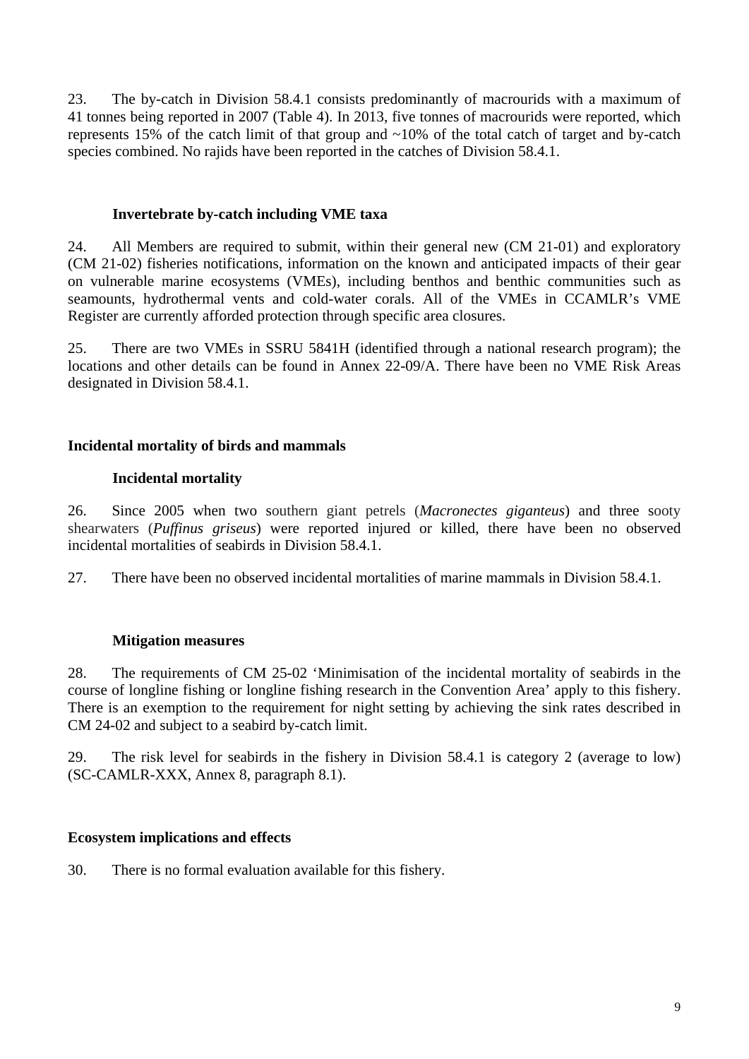23. The by-catch in Division 58.4.1 consists predominantly of macrourids with a maximum of 41 tonnes being reported in 2007 (Table 4). In 2013, five tonnes of macrourids were reported, which represents 15% of the catch limit of that group and ~10% of the total catch of target and by-catch species combined. No rajids have been reported in the catches of Division 58.4.1.

# **Invertebrate by-catch including VME taxa**

24. All Members are required to submit, within their general new (CM 21-01) and exploratory (CM 21-02) fisheries notifications, information on the known and anticipated impacts of their gear on vulnerable marine ecosystems (VMEs), including benthos and benthic communities such as seamounts, hydrothermal vents and cold-water corals. All of the VMEs in CCAMLR's VME Register are currently afforded protection through specific area closures.

25. There are two VMEs in SSRU 5841H (identified through a national research program); the locations and other details can be found in Annex 22-09/A. There have been no VME Risk Areas designated in Division 58.4.1.

# **Incidental mortality of birds and mammals**

## **Incidental mortality**

26. Since 2005 when two southern giant petrels (*Macronectes giganteus*) and three sooty shearwaters (*Puffinus griseus*) were reported injured or killed, there have been no observed incidental mortalities of seabirds in Division 58.4.1.

27. There have been no observed incidental mortalities of marine mammals in Division 58.4.1.

# **Mitigation measures**

28. The requirements of CM 25-02 'Minimisation of the incidental mortality of seabirds in the course of longline fishing or longline fishing research in the Convention Area' apply to this fishery. There is an exemption to the requirement for night setting by achieving the sink rates described in CM 24-02 and subject to a seabird by-catch limit.

29. The risk level for seabirds in the fishery in Division 58.4.1 is category 2 (average to low) (SC-CAMLR-XXX, Annex 8, paragraph 8.1).

# **Ecosystem implications and effects**

30. There is no formal evaluation available for this fishery.